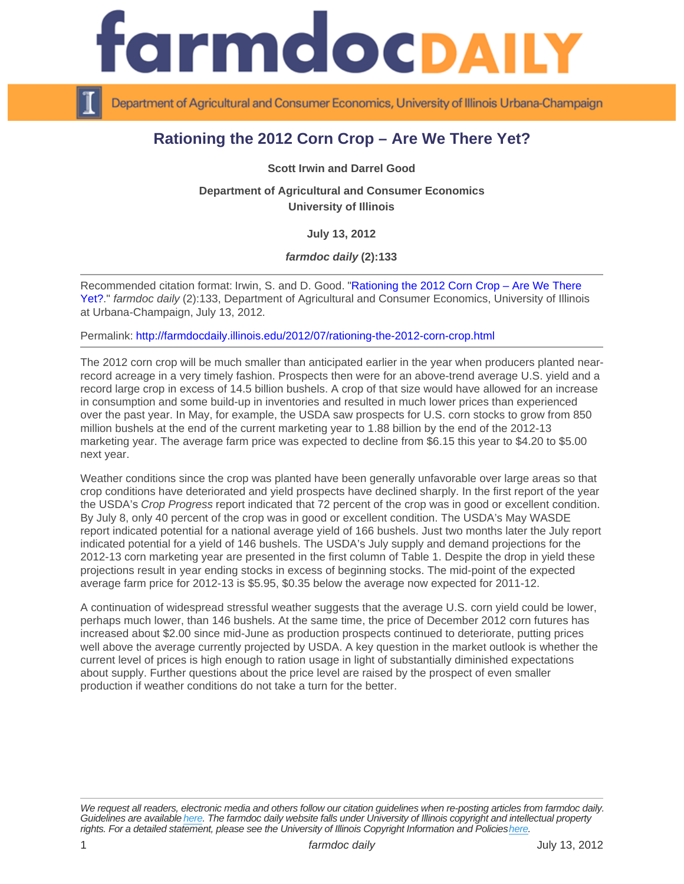## Rationing the 2012 Corn Crop – Are We There Yet?

Scott Irwin and Darrel Good

Department of Agricultural and Consumer Economics University of Illinois

July 13, 2012

farmdoc daily (2):133

Recommended citation format: Irwin, S. and D. Good. "[Rationing the 2012 Corn Crop – Are We There](http://farmdocdaily.illinois.edu/2012/07/rationing-the-2012-corn-crop.html)  [Yet?](http://farmdocdaily.illinois.edu/2012/07/rationing-the-2012-corn-crop.html)." farmdoc daily (2):133, Department of Agricultural and Consumer Economics, University of Illinois at Urbana-Champaign, July 13, 2012.

Permalink:<http://farmdocdaily.illinois.edu/2012/07/rationing-the-2012-corn-crop.html>

The 2012 corn crop will be much smaller than anticipated earlier in the year when producers planted nearrecord acreage in a very timely fashion. Prospects then were for an above-trend average U.S. yield and a record large crop in excess of 14.5 billion bushels. A crop of that size would have allowed for an increase in consumption and some build-up in inventories and resulted in much lower prices than experienced over the past year. In May, for example, the USDA saw prospects for U.S. corn stocks to grow from 850 million bushels at the end of the current marketing year to 1.88 billion by the end of the 2012-13 marketing year. The average farm price was expected to decline from \$6.15 this year to \$4.20 to \$5.00 next year.

Weather conditions since the crop was planted have been generally unfavorable over large areas so that crop conditions have deteriorated and yield prospects have declined sharply. In the first report of the year the USDA's Crop Progress report indicated that 72 percent of the crop was in good or excellent condition. By July 8, only 40 percent of the crop was in good or excellent condition. The USDA's May WASDE report indicated potential for a national average yield of 166 bushels. Just two months later the July report indicated potential for a yield of 146 bushels. The USDA's July supply and demand projections for the 2012-13 corn marketing year are presented in the first column of Table 1. Despite the drop in yield these projections result in year ending stocks in excess of beginning stocks. The mid-point of the expected average farm price for 2012-13 is \$5.95, \$0.35 below the average now expected for 2011-12.

A continuation of widespread stressful weather suggests that the average U.S. corn yield could be lower, perhaps much lower, than 146 bushels. At the same time, the price of December 2012 corn futures has increased about \$2.00 since mid-June as production prospects continued to deteriorate, putting prices well above the average currently projected by USDA. A key question in the market outlook is whether the current level of prices is high enough to ration usage in light of substantially diminished expectations about supply. Further questions about the price level are raised by the prospect of even smaller production if weather conditions do not take a turn for the better.

We request all readers, electronic media and others follow our citation guidelines when re-posting articles from farmdoc daily. Guidelines are available [here](http://farmdocdaily.illinois.edu/citationguide.html). The farmdoc daily website falls under University of Illinois copyright and intellectual property rights. For a detailed statement, please see the University of Illinois Copyright Information and Policies [here.](https://techservices.illinois.edu/office-cio)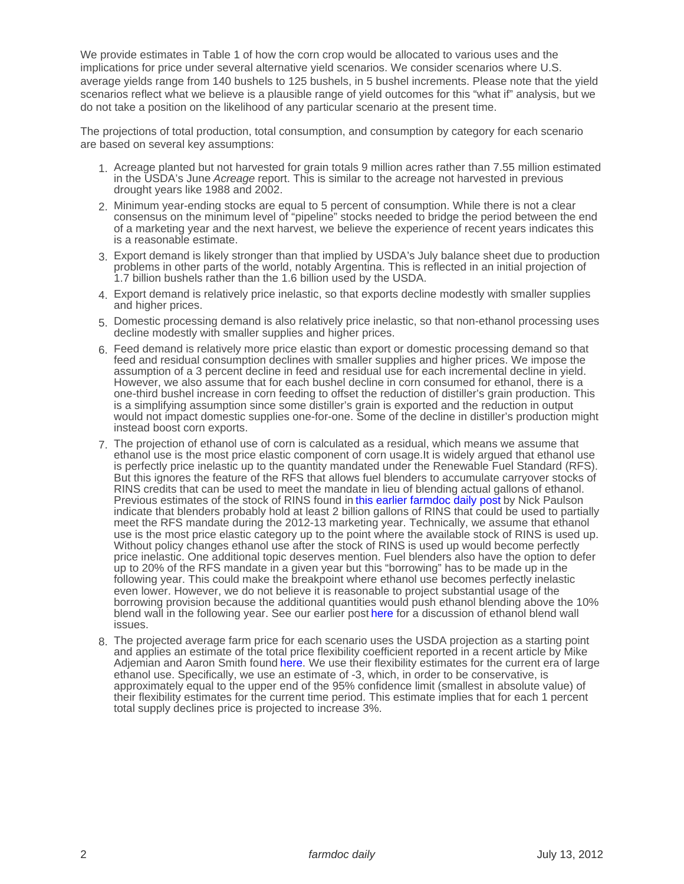We provide estimates in Table 1 of how the corn crop would be allocated to various uses and the implications for price under several alternative yield scenarios. We consider scenarios where U.S. average yields range from 140 bushels to 125 bushels, in 5 bushel increments. Please note that the yield scenarios reflect what we believe is a plausible range of yield outcomes for this "what if" analysis, but we do not take a position on the likelihood of any particular scenario at the present time.

The projections of total production, total consumption, and consumption by category for each scenario are based on several key assumptions:

- 1. Acreage planted but not harvested for grain totals 9 million acres rather than 7.55 million estimated in the USDA's June Acreage report. This is similar to the acreage not harvested in previous drought years like 1988 and 2002.
- 2. Minimum year-ending stocks are equal to 5 percent of consumption. While there is not a clear consensus on the minimum level of "pipeline" stocks needed to bridge the period between the end of a marketing year and the next harvest, we believe the experience of recent years indicates this is a reasonable estimate.
- 3. Export demand is likely stronger than that implied by USDA's July balance sheet due to production problems in other parts of the world, notably Argentina. This is reflected in an initial projection of 1.7 billion bushels rather than the 1.6 billion used by the USDA.
- 4. Export demand is relatively price inelastic, so that exports decline modestly with smaller supplies and higher prices.
- 5. Domestic processing demand is also relatively price inelastic, so that non-ethanol processing uses decline modestly with smaller supplies and higher prices.
- 6. Feed demand is relatively more price elastic than export or domestic processing demand so that feed and residual consumption declines with smaller supplies and higher prices. We impose the assumption of a 3 percent decline in feed and residual use for each incremental decline in yield. However, we also assume that for each bushel decline in corn consumed for ethanol, there is a one-third bushel increase in corn feeding to offset the reduction of distiller's grain production. This is a simplifying assumption since some distiller's grain is exported and the reduction in output would not impact domestic supplies one-for-one. Some of the decline in distiller's production might instead boost corn exports.
- 7. The projection of ethanol use of corn is calculated as a residual, which means we assume that ethanol use is the most price elastic component of corn usage.It is widely argued that ethanol use is perfectly price inelastic up to the quantity mandated under the Renewable Fuel Standard (RFS). But this ignores the feature of the RFS that allows fuel blenders to accumulate carryover stocks of RINS credits that can be used to meet the mandate in lieu of blending actual gallons of ethanol. Previous estimates of the stock of RINS found in [this earlier farmdoc daily post](http://www.farmdocdaily.illinois.edu/2012/03/is_the_ethanol_mandate_truly_a.html) by Nick Paulson indicate that blenders probably hold at least 2 billion gallons of RINS that could be used to partially meet the RFS mandate during the 2012-13 marketing year. Technically, we assume that ethanol use is the most price elastic category up to the point where the available stock of RINS is used up. Without policy changes ethanol use after the stock of RINS is used up would become perfectly price inelastic. One additional topic deserves mention. Fuel blenders also have the option to defer up to 20% of the RFS mandate in a given year but this "borrowing" has to be made up in the following year. This could make the breakpoint where ethanol use becomes perfectly inelastic even lower. However, we do not believe it is reasonable to project substantial usage of the borrowing provision because the additional quantities would push ethanol blending above the 10% blend wall in the following year. See our earlier post [here](http://www.farmdocdaily.illinois.edu/2012/05/is_the_long_ethanol_boom_comin_1.html) for a discussion of ethanol blend wall issues.
- 8. The projected average farm price for each scenario uses the USDA projection as a starting point and applies an estimate of the total price flexibility coefficient reported in a recent article by Mike Adjemian and Aaron Smith found [here.](http://ajae.oxfordjournals.org/content/94/4/978.abstract) We use their flexibility estimates for the current era of large ethanol use. Specifically, we use an estimate of -3, which, in order to be conservative, is approximately equal to the upper end of the 95% confidence limit (smallest in absolute value) of their flexibility estimates for the current time period. This estimate implies that for each 1 percent total supply declines price is projected to increase 3%.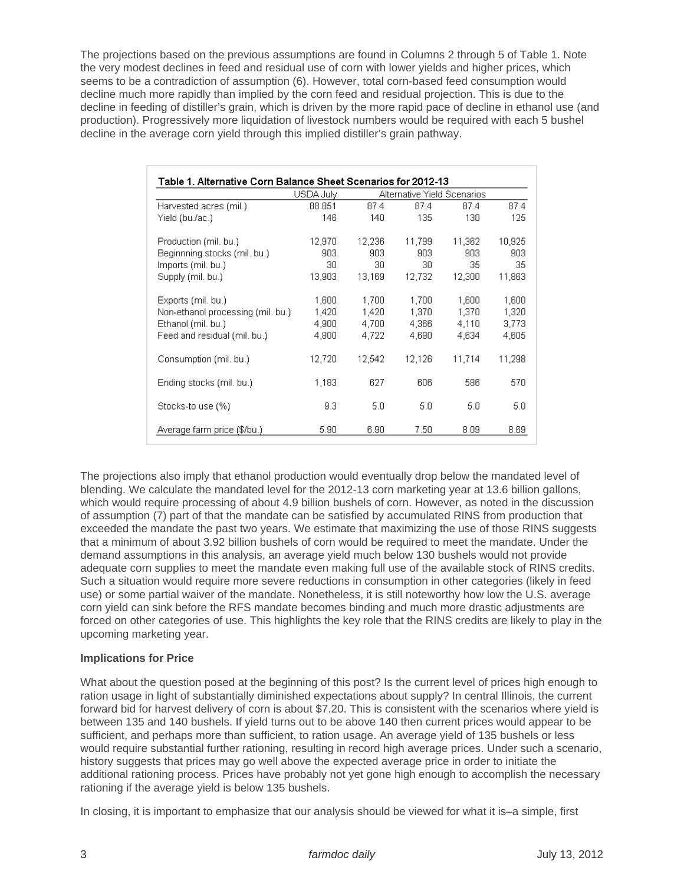The projections based on the previous assumptions are found in Columns 2 through 5 of Table 1. Note the very modest declines in feed and residual use of corn with lower yields and higher prices, which seems to be a contradiction of assumption (6). However, total corn-based feed consumption would decline much more rapidly than implied by the corn feed and residual projection. This is due to the decline in feeding of distiller's grain, which is driven by the more rapid pace of decline in ethanol use (and production). Progressively more liquidation of livestock numbers would be required with each 5 bushel decline in the average corn yield through this implied distiller's grain pathway.

| Harvested acres (mil.)            | USDA July | Alternative Yield Scenarios |        |        |        |
|-----------------------------------|-----------|-----------------------------|--------|--------|--------|
|                                   | 88.851    | 87.4                        | 87.4   | 87.4   | 87.4   |
| Yield (bu./ac.)                   | 146       | 140                         | 135    | 130    | 125    |
| Production (mil. bu.)             | 12,970    | 12,236                      | 11,799 | 11,362 | 10,925 |
| Beginnning stocks (mil. bu.)      | 903       | 903                         | 903    | 903    | 903    |
| Imports (mil. bu.)                | 30        | 30                          | 30     | 35     | 35     |
| Supply (mil. bu.)                 | 13,903    | 13,169                      | 12,732 | 12,300 | 11,863 |
| Exports (mil. bu.)                | 1,600     | 1,700                       | 1,700  | 1,600  | 1,600  |
| Non-ethanol processing (mil. bu.) | 1,420     | 1,420                       | 1,370  | 1,370  | 1,320  |
| Ethanol (mil. bu.)                | 4,900     | 4,700                       | 4,366  | 4.110  | 3,773  |
| Feed and residual (mil. bu.)      | 4,800     | 4,722                       | 4,690  | 4,634  | 4,605  |
| Consumption (mil. bu.)            | 12.720    | 12,542                      | 12.126 | 11.714 | 11.298 |
| Ending stocks (mil. bu.)          | 1,183     | 627                         | 606    | 586    | 570    |
| Stocks-to use (%)                 | 9.3       | 5.0                         | 5.0    | 5.0    | 5.0    |
| Average farm price (\$/bu.)       | 5.90      | 6.90                        | 7.50   | 8.09   | 8.69   |

The projections also imply that ethanol production would eventually drop below the mandated level of blending. We calculate the mandated level for the 2012-13 corn marketing year at 13.6 billion gallons, which would require processing of about 4.9 billion bushels of corn. However, as noted in the discussion of assumption (7) part of that the mandate can be satisfied by accumulated RINS from production that exceeded the mandate the past two years. We estimate that maximizing the use of those RINS suggests that a minimum of about 3.92 billion bushels of corn would be required to meet the mandate. Under the demand assumptions in this analysis, an average yield much below 130 bushels would not provide adequate corn supplies to meet the mandate even making full use of the available stock of RINS credits. Such a situation would require more severe reductions in consumption in other categories (likely in feed use) or some partial waiver of the mandate. Nonetheless, it is still noteworthy how low the U.S. average corn yield can sink before the RFS mandate becomes binding and much more drastic adjustments are forced on other categories of use. This highlights the key role that the RINS credits are likely to play in the upcoming marketing year.

## **Implications for Price**

What about the question posed at the beginning of this post? Is the current level of prices high enough to ration usage in light of substantially diminished expectations about supply? In central Illinois, the current forward bid for harvest delivery of corn is about \$7.20. This is consistent with the scenarios where yield is between 135 and 140 bushels. If yield turns out to be above 140 then current prices would appear to be sufficient, and perhaps more than sufficient, to ration usage. An average yield of 135 bushels or less would require substantial further rationing, resulting in record high average prices. Under such a scenario, history suggests that prices may go well above the expected average price in order to initiate the additional rationing process. Prices have probably not yet gone high enough to accomplish the necessary rationing if the average yield is below 135 bushels.

In closing, it is important to emphasize that our analysis should be viewed for what it is–a simple, first